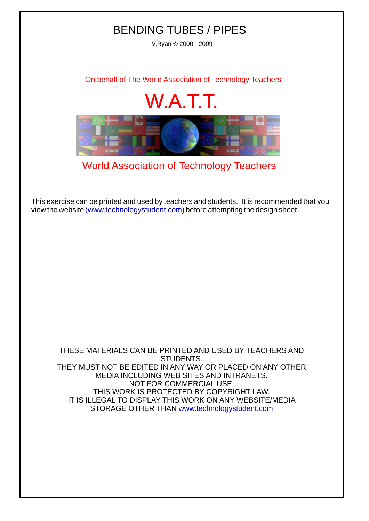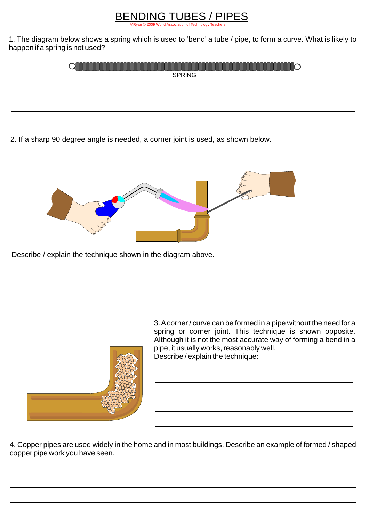## [V.Ryan © 2009 World Association of Technology Teachers](http://www.technologystudent.com) BENDING TUBES / PIPES

1. The diagram below shows a spring which is used to 'bend' a tube / pipe, to form a curve. What is likely to happen if a spring is not used?

| ---------------<br>◡ |  |
|----------------------|--|
| <b>SPRING</b>        |  |

2. If a sharp 90 degree angle is needed, a corner joint is used, as shown below.



Describe / explain the technique shown in the diagram above.



3. Acorner / curve can be formed in a pipe without the need for a spring or corner joint. This technique is shown opposite. Although it is not the most accurate way of forming a bend in a pipe, it usually works, reasonably well. Describe / explain the technique:

4. Copper pipes are used widely in the home and in most buildings. Describe an example of formed / shaped copper pipe work you have seen.